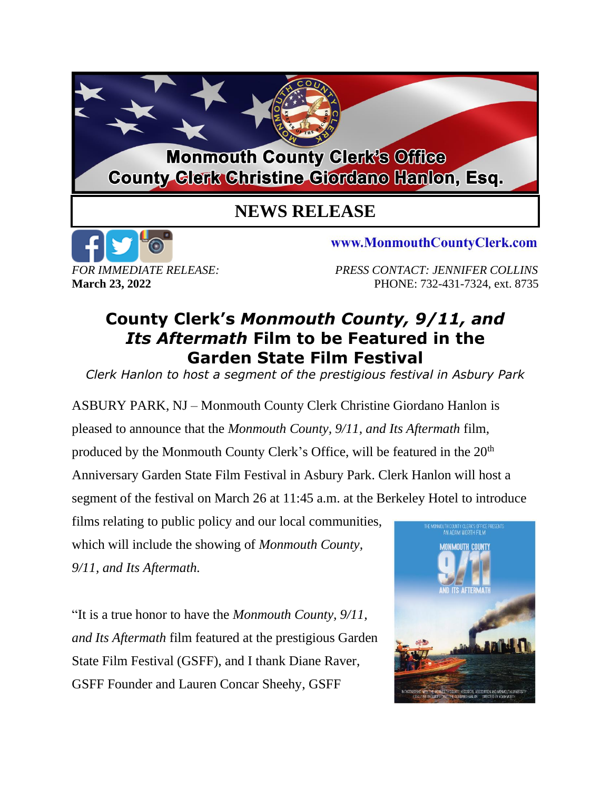## **Monmouth County Clerk's Office County Clerk Christine Giordano Hanlon, Esq.**

## **NEWS RELEASE**



*FOR IMMEDIATE RELEASE: PRESS CONTACT: JENNIFER COLLINS* **March 23, 2022 PHONE: 732-431-7324, ext. 8735** 

www.MonmouthCountyClerk.com

## **County Clerk's** *Monmouth County, 9/11, and Its Aftermath* **Film to be Featured in the Garden State Film Festival**

*Clerk Hanlon to host a segment of the prestigious festival in Asbury Park*

ASBURY PARK, NJ – Monmouth County Clerk Christine Giordano Hanlon is pleased to announce that the *Monmouth County, 9/11, and Its Aftermath* film, produced by the Monmouth County Clerk's Office, will be featured in the 20<sup>th</sup> Anniversary Garden State Film Festival in Asbury Park. Clerk Hanlon will host a segment of the festival on March 26 at 11:45 a.m. at the Berkeley Hotel to introduce

films relating to public policy and our local communities, which will include the showing of *Monmouth County, 9/11, and Its Aftermath.* 

"It is a true honor to have the *Monmouth County, 9/11, and Its Aftermath* film featured at the prestigious Garden State Film Festival (GSFF), and I thank Diane Raver, GSFF Founder and Lauren Concar Sheehy, GSFF

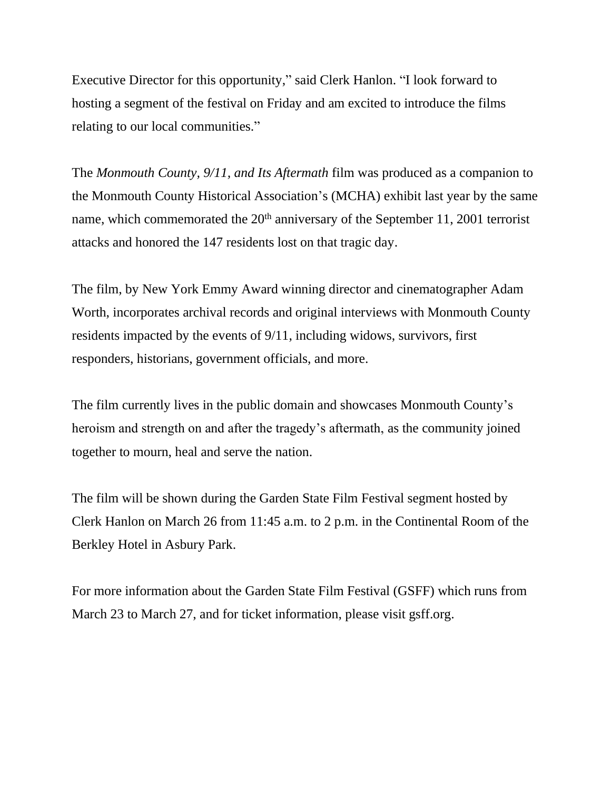Executive Director for this opportunity," said Clerk Hanlon. "I look forward to hosting a segment of the festival on Friday and am excited to introduce the films relating to our local communities."

The *Monmouth County, 9/11, and Its Aftermath* film was produced as a companion to the Monmouth County Historical Association's (MCHA) exhibit last year by the same name, which commemorated the  $20<sup>th</sup>$  anniversary of the September 11, 2001 terrorist attacks and honored the 147 residents lost on that tragic day.

The film, by New York Emmy Award winning director and cinematographer Adam Worth, incorporates archival records and original interviews with Monmouth County residents impacted by the events of 9/11, including widows, survivors, first responders, historians, government officials, and more.

The film currently lives in the public domain and showcases Monmouth County's heroism and strength on and after the tragedy's aftermath, as the community joined together to mourn, heal and serve the nation.

The film will be shown during the Garden State Film Festival segment hosted by Clerk Hanlon on March 26 from 11:45 a.m. to 2 p.m. in the Continental Room of the Berkley Hotel in Asbury Park.

For more information about the Garden State Film Festival (GSFF) which runs from March 23 to March 27, and for ticket information, please visit gsff.org.